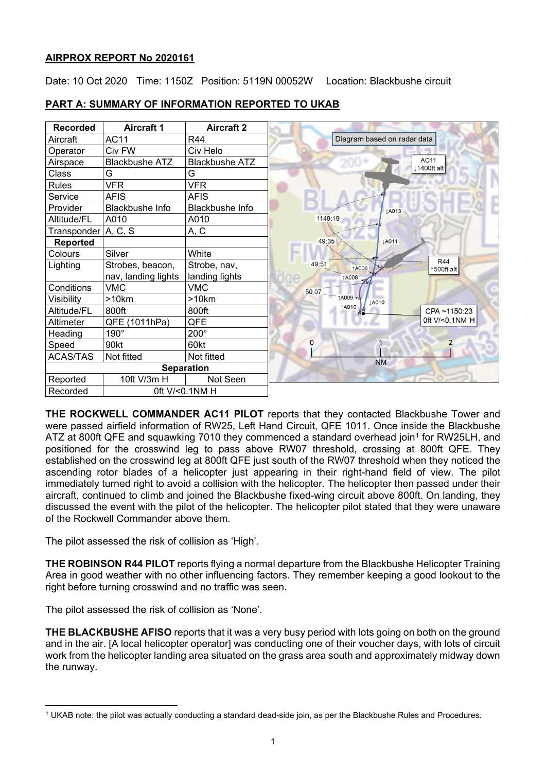## **AIRPROX REPORT No 2020161**

Date: 10 Oct 2020 Time: 1150Z Position: 5119N 00052W Location: Blackbushe circuit

| <b>Recorded</b>     | <b>Aircraft 1</b>     | <b>Aircraft 2</b>     |  |
|---------------------|-----------------------|-----------------------|--|
| Aircraft            | <b>AC11</b>           | R44                   |  |
| Operator            | Civ FW                | Civ Helo              |  |
| Airspace            | <b>Blackbushe ATZ</b> | <b>Blackbushe ATZ</b> |  |
| Class               | G                     | G                     |  |
| Rules               | <b>VFR</b>            | <b>VFR</b>            |  |
| Service             | <b>AFIS</b>           | AFIS                  |  |
| Provider            | Blackbushe Info       | Blackbushe Info       |  |
| Altitude/FL         | A010                  | A010                  |  |
| Transponder A, C, S |                       | A, C                  |  |
| <b>Reported</b>     |                       |                       |  |
| Colours             | Silver                | White                 |  |
| Lighting            | Strobes, beacon,      | Strobe, nav,          |  |
|                     | nav, landing lights   | landing lights        |  |
| Conditions          | <b>VMC</b>            | <b>VMC</b>            |  |
| Visibility          | >10km                 | >10km                 |  |
| Altitude/FL         | 800ft                 | 800ft                 |  |
| Altimeter           | QFE (1011hPa)         | QFE                   |  |
| Heading             | 190°                  | 200°                  |  |
| Speed               | 90kt                  | 60kt                  |  |
| <b>ACAS/TAS</b>     | Not fitted            | Not fitted            |  |
| <b>Separation</b>   |                       |                       |  |
| Reported            | 10ft V/3m H           | Not Seen              |  |
| Recorded            | 0ft V/<0.1NM H        |                       |  |

# **PART A: SUMMARY OF INFORMATION REPORTED TO UKAB**

**THE ROCKWELL COMMANDER AC11 PILOT** reports that they contacted Blackbushe Tower and were passed airfield information of RW25, Left Hand Circuit, QFE 1011. Once inside the Blackbushe ATZ at 800ft QFE and squawking 70[1](#page-0-0)0 they commenced a standard overhead join<sup>1</sup> for RW25LH, and positioned for the crosswind leg to pass above RW07 threshold, crossing at 800ft QFE. They established on the crosswind leg at 800ft QFE just south of the RW07 threshold when they noticed the ascending rotor blades of a helicopter just appearing in their right-hand field of view. The pilot immediately turned right to avoid a collision with the helicopter. The helicopter then passed under their aircraft, continued to climb and joined the Blackbushe fixed-wing circuit above 800ft. On landing, they discussed the event with the pilot of the helicopter. The helicopter pilot stated that they were unaware of the Rockwell Commander above them.

The pilot assessed the risk of collision as 'High'.

**THE ROBINSON R44 PILOT** reports flying a normal departure from the Blackbushe Helicopter Training Area in good weather with no other influencing factors. They remember keeping a good lookout to the right before turning crosswind and no traffic was seen.

The pilot assessed the risk of collision as 'None'.

**THE BLACKBUSHE AFISO** reports that it was a very busy period with lots going on both on the ground and in the air. [A local helicopter operator] was conducting one of their voucher days, with lots of circuit work from the helicopter landing area situated on the grass area south and approximately midway down the runway.

<span id="page-0-0"></span><sup>1</sup> UKAB note: the pilot was actually conducting a standard dead-side join, as per the Blackbushe Rules and Procedures.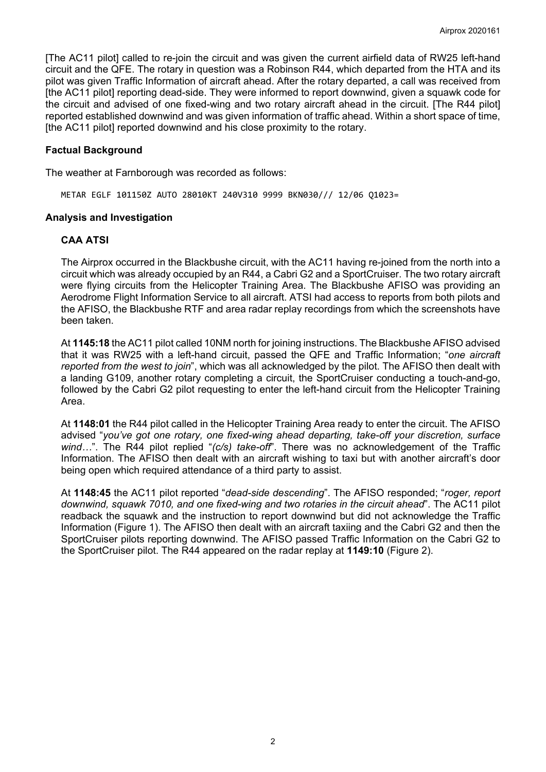[The AC11 pilot] called to re-join the circuit and was given the current airfield data of RW25 left-hand circuit and the QFE. The rotary in question was a Robinson R44, which departed from the HTA and its pilot was given Traffic Information of aircraft ahead. After the rotary departed, a call was received from [the AC11 pilot] reporting dead-side. They were informed to report downwind, given a squawk code for the circuit and advised of one fixed-wing and two rotary aircraft ahead in the circuit. [The R44 pilot] reported established downwind and was given information of traffic ahead. Within a short space of time, [the AC11 pilot] reported downwind and his close proximity to the rotary.

## **Factual Background**

The weather at Farnborough was recorded as follows:

METAR EGLF 101150Z AUTO 28010KT 240V310 9999 BKN030/// 12/06 Q1023=

### **Analysis and Investigation**

## **CAA ATSI**

The Airprox occurred in the Blackbushe circuit, with the AC11 having re-joined from the north into a circuit which was already occupied by an R44, a Cabri G2 and a SportCruiser. The two rotary aircraft were flying circuits from the Helicopter Training Area. The Blackbushe AFISO was providing an Aerodrome Flight Information Service to all aircraft. ATSI had access to reports from both pilots and the AFISO, the Blackbushe RTF and area radar replay recordings from which the screenshots have been taken.

At **1145:18** the AC11 pilot called 10NM north for joining instructions. The Blackbushe AFISO advised that it was RW25 with a left-hand circuit, passed the QFE and Traffic Information; "*one aircraft reported from the west to join*", which was all acknowledged by the pilot. The AFISO then dealt with a landing G109, another rotary completing a circuit, the SportCruiser conducting a touch-and-go, followed by the Cabri G2 pilot requesting to enter the left-hand circuit from the Helicopter Training Area.

At **1148:01** the R44 pilot called in the Helicopter Training Area ready to enter the circuit. The AFISO advised "*you've got one rotary, one fixed-wing ahead departing, take-off your discretion, surface wind…*". The R44 pilot replied "*(c/s) take-off*". There was no acknowledgement of the Traffic Information. The AFISO then dealt with an aircraft wishing to taxi but with another aircraft's door being open which required attendance of a third party to assist.

At **1148:45** the AC11 pilot reported "*dead-side descending*". The AFISO responded; "*roger, report downwind, squawk 7010, and one fixed-wing and two rotaries in the circuit ahead*". The AC11 pilot readback the squawk and the instruction to report downwind but did not acknowledge the Traffic Information (Figure 1). The AFISO then dealt with an aircraft taxiing and the Cabri G2 and then the SportCruiser pilots reporting downwind. The AFISO passed Traffic Information on the Cabri G2 to the SportCruiser pilot. The R44 appeared on the radar replay at **1149:10** (Figure 2).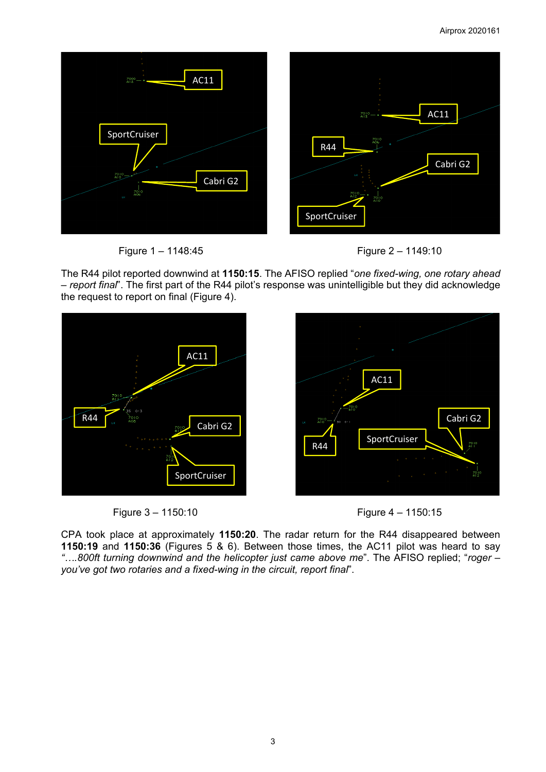

Figure 1 – 1148:45 Figure 2 – 1149:10



The R44 pilot reported downwind at **1150:15**. The AFISO replied "*one fixed-wing, one rotary ahead – report final*". The first part of the R44 pilot's response was unintelligible but they did acknowledge the request to report on final (Figure 4).







CPA took place at approximately **1150:20**. The radar return for the R44 disappeared between **1150:19** and **1150:36** (Figures 5 & 6). Between those times, the AC11 pilot was heard to say *"….800ft turning downwind and the helicopter just came above me*". The AFISO replied; "*roger – you've got two rotaries and a fixed-wing in the circuit, report final*".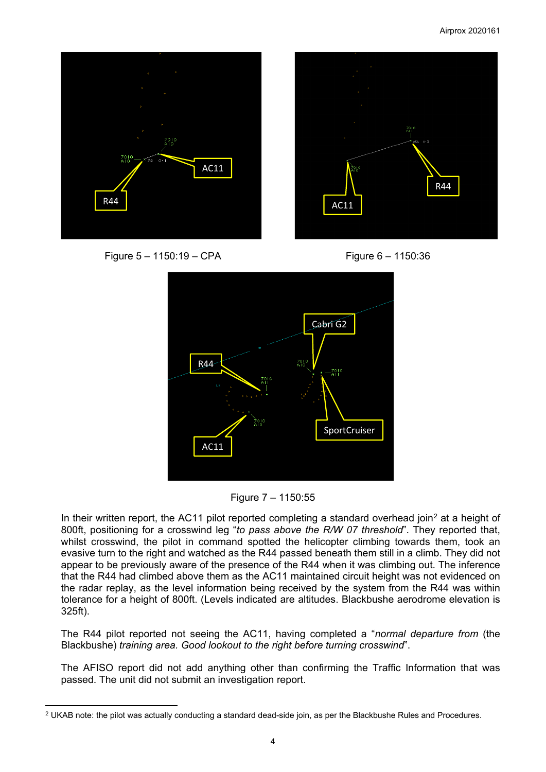



Figure 5 – 1150:19 – CPA Figure 6 – 1150:36







In their written report, the AC11 pilot reported completing a standard overhead join<sup>[2](#page-3-0)</sup> at a height of 800ft, positioning for a crosswind leg "*to pass above the R/W 07 threshold*". They reported that, whilst crosswind, the pilot in command spotted the helicopter climbing towards them, took an evasive turn to the right and watched as the R44 passed beneath them still in a climb. They did not appear to be previously aware of the presence of the R44 when it was climbing out. The inference that the R44 had climbed above them as the AC11 maintained circuit height was not evidenced on the radar replay, as the level information being received by the system from the R44 was within tolerance for a height of 800ft. (Levels indicated are altitudes. Blackbushe aerodrome elevation is 325ft).

The R44 pilot reported not seeing the AC11, having completed a "*normal departure from* (the Blackbushe) *training area. Good lookout to the right before turning crosswind*".

The AFISO report did not add anything other than confirming the Traffic Information that was passed. The unit did not submit an investigation report.

<span id="page-3-0"></span> $2$  UKAB note: the pilot was actually conducting a standard dead-side join, as per the Blackbushe Rules and Procedures.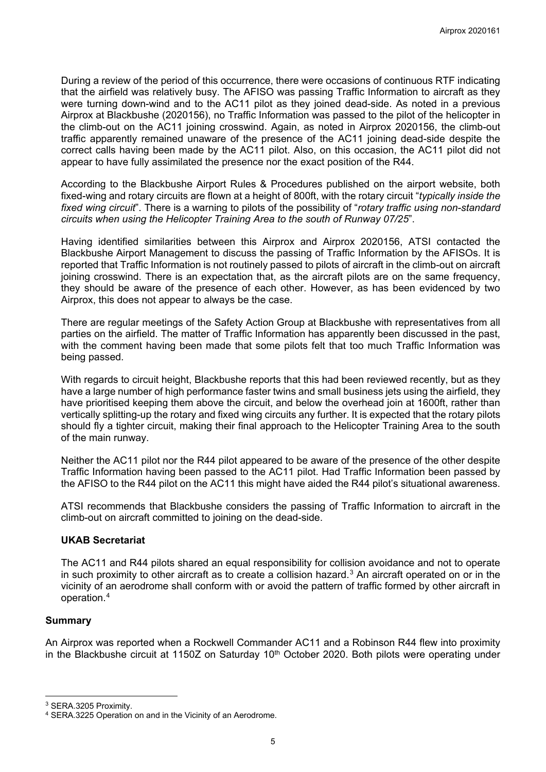During a review of the period of this occurrence, there were occasions of continuous RTF indicating that the airfield was relatively busy. The AFISO was passing Traffic Information to aircraft as they were turning down-wind and to the AC11 pilot as they joined dead-side. As noted in a previous Airprox at Blackbushe (2020156), no Traffic Information was passed to the pilot of the helicopter in the climb-out on the AC11 joining crosswind. Again, as noted in Airprox 2020156, the climb-out traffic apparently remained unaware of the presence of the AC11 joining dead-side despite the correct calls having been made by the AC11 pilot. Also, on this occasion, the AC11 pilot did not appear to have fully assimilated the presence nor the exact position of the R44.

According to the Blackbushe Airport Rules & Procedures published on the airport website, both fixed-wing and rotary circuits are flown at a height of 800ft, with the rotary circuit "*typically inside the fixed wing circuit*". There is a warning to pilots of the possibility of "*rotary traffic using non-standard circuits when using the Helicopter Training Area to the south of Runway 07/25*".

Having identified similarities between this Airprox and Airprox 2020156, ATSI contacted the Blackbushe Airport Management to discuss the passing of Traffic Information by the AFISOs. It is reported that Traffic Information is not routinely passed to pilots of aircraft in the climb-out on aircraft joining crosswind. There is an expectation that, as the aircraft pilots are on the same frequency, they should be aware of the presence of each other. However, as has been evidenced by two Airprox, this does not appear to always be the case.

There are regular meetings of the Safety Action Group at Blackbushe with representatives from all parties on the airfield. The matter of Traffic Information has apparently been discussed in the past, with the comment having been made that some pilots felt that too much Traffic Information was being passed.

With regards to circuit height, Blackbushe reports that this had been reviewed recently, but as they have a large number of high performance faster twins and small business jets using the airfield, they have prioritised keeping them above the circuit, and below the overhead join at 1600ft, rather than vertically splitting-up the rotary and fixed wing circuits any further. It is expected that the rotary pilots should fly a tighter circuit, making their final approach to the Helicopter Training Area to the south of the main runway.

Neither the AC11 pilot nor the R44 pilot appeared to be aware of the presence of the other despite Traffic Information having been passed to the AC11 pilot. Had Traffic Information been passed by the AFISO to the R44 pilot on the AC11 this might have aided the R44 pilot's situational awareness.

ATSI recommends that Blackbushe considers the passing of Traffic Information to aircraft in the climb-out on aircraft committed to joining on the dead-side.

# **UKAB Secretariat**

The AC11 and R44 pilots shared an equal responsibility for collision avoidance and not to operate in such proximity to other aircraft as to create a collision hazard.<sup>[3](#page-4-0)</sup> An aircraft operated on or in the vicinity of an aerodrome shall conform with or avoid the pattern of traffic formed by other aircraft in operation.[4](#page-4-1)

## **Summary**

An Airprox was reported when a Rockwell Commander AC11 and a Robinson R44 flew into proximity in the Blackbushe circuit at 1150Z on Saturday 10<sup>th</sup> October 2020. Both pilots were operating under

<span id="page-4-0"></span><sup>3</sup> SERA.3205 Proximity.

<span id="page-4-1"></span><sup>4</sup> SERA.3225 Operation on and in the Vicinity of an Aerodrome.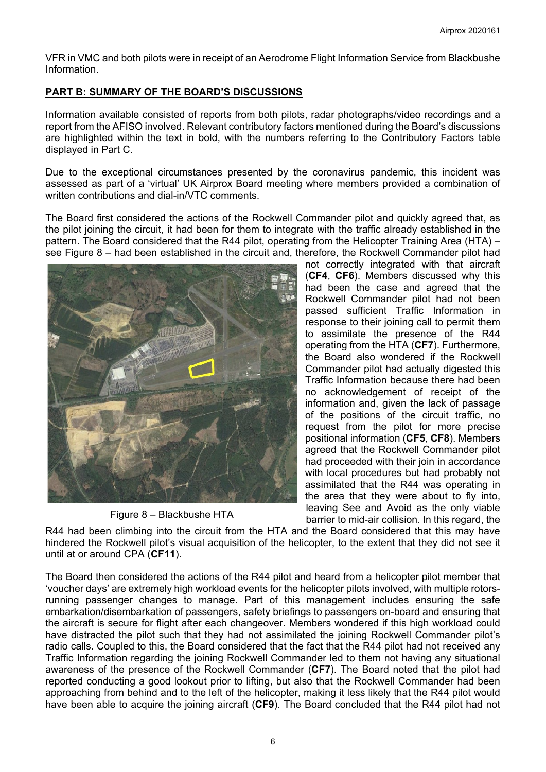VFR in VMC and both pilots were in receipt of an Aerodrome Flight Information Service from Blackbushe Information.

# **PART B: SUMMARY OF THE BOARD'S DISCUSSIONS**

Information available consisted of reports from both pilots, radar photographs/video recordings and a report from the AFISO involved. Relevant contributory factors mentioned during the Board's discussions are highlighted within the text in bold, with the numbers referring to the Contributory Factors table displayed in Part C.

Due to the exceptional circumstances presented by the coronavirus pandemic, this incident was assessed as part of a 'virtual' UK Airprox Board meeting where members provided a combination of written contributions and dial-in/VTC comments.

The Board first considered the actions of the Rockwell Commander pilot and quickly agreed that, as the pilot joining the circuit, it had been for them to integrate with the traffic already established in the pattern. The Board considered that the R44 pilot, operating from the Helicopter Training Area (HTA) – see Figure 8 – had been established in the circuit and, therefore, the Rockwell Commander pilot had



Figure 8 – Blackbushe HTA

not correctly integrated with that aircraft (**CF4**, **CF6**). Members discussed why this had been the case and agreed that the Rockwell Commander pilot had not been passed sufficient Traffic Information in response to their joining call to permit them to assimilate the presence of the R44 operating from the HTA (**CF7**). Furthermore, the Board also wondered if the Rockwell Commander pilot had actually digested this Traffic Information because there had been no acknowledgement of receipt of the information and, given the lack of passage of the positions of the circuit traffic, no request from the pilot for more precise positional information (**CF5**, **CF8**). Members agreed that the Rockwell Commander pilot had proceeded with their join in accordance with local procedures but had probably not assimilated that the R44 was operating in the area that they were about to fly into, leaving See and Avoid as the only viable barrier to mid-air collision. In this regard, the

R44 had been climbing into the circuit from the HTA and the Board considered that this may have hindered the Rockwell pilot's visual acquisition of the helicopter, to the extent that they did not see it until at or around CPA (**CF11**).

The Board then considered the actions of the R44 pilot and heard from a helicopter pilot member that 'voucher days' are extremely high workload events for the helicopter pilots involved, with multiple rotorsrunning passenger changes to manage. Part of this management includes ensuring the safe embarkation/disembarkation of passengers, safety briefings to passengers on-board and ensuring that the aircraft is secure for flight after each changeover. Members wondered if this high workload could have distracted the pilot such that they had not assimilated the joining Rockwell Commander pilot's radio calls. Coupled to this, the Board considered that the fact that the R44 pilot had not received any Traffic Information regarding the joining Rockwell Commander led to them not having any situational awareness of the presence of the Rockwell Commander (**CF7**). The Board noted that the pilot had reported conducting a good lookout prior to lifting, but also that the Rockwell Commander had been approaching from behind and to the left of the helicopter, making it less likely that the R44 pilot would have been able to acquire the joining aircraft (**CF9**). The Board concluded that the R44 pilot had not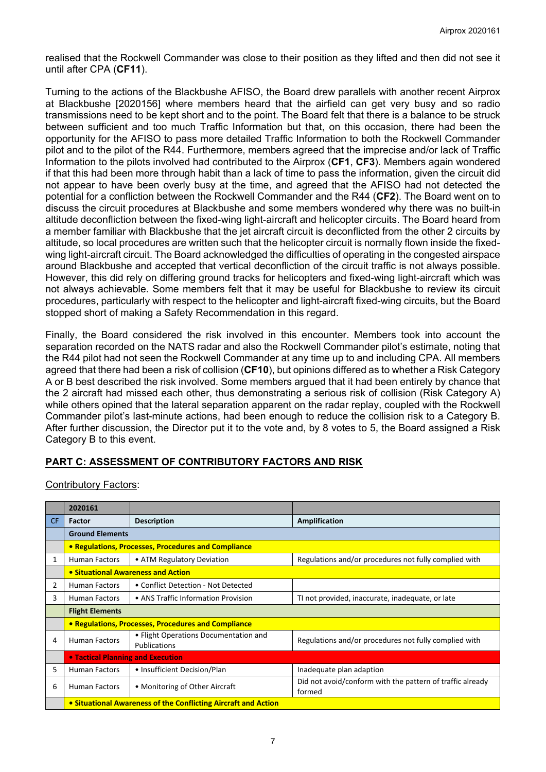realised that the Rockwell Commander was close to their position as they lifted and then did not see it until after CPA (**CF11**).

Turning to the actions of the Blackbushe AFISO, the Board drew parallels with another recent Airprox at Blackbushe [2020156] where members heard that the airfield can get very busy and so radio transmissions need to be kept short and to the point. The Board felt that there is a balance to be struck between sufficient and too much Traffic Information but that, on this occasion, there had been the opportunity for the AFISO to pass more detailed Traffic Information to both the Rockwell Commander pilot and to the pilot of the R44. Furthermore, members agreed that the imprecise and/or lack of Traffic Information to the pilots involved had contributed to the Airprox (**CF1**, **CF3**). Members again wondered if that this had been more through habit than a lack of time to pass the information, given the circuit did not appear to have been overly busy at the time, and agreed that the AFISO had not detected the potential for a confliction between the Rockwell Commander and the R44 (**CF2**). The Board went on to discuss the circuit procedures at Blackbushe and some members wondered why there was no built-in altitude deconfliction between the fixed-wing light-aircraft and helicopter circuits. The Board heard from a member familiar with Blackbushe that the jet aircraft circuit is deconflicted from the other 2 circuits by altitude, so local procedures are written such that the helicopter circuit is normally flown inside the fixedwing light-aircraft circuit. The Board acknowledged the difficulties of operating in the congested airspace around Blackbushe and accepted that vertical deconfliction of the circuit traffic is not always possible. However, this did rely on differing ground tracks for helicopters and fixed-wing light-aircraft which was not always achievable. Some members felt that it may be useful for Blackbushe to review its circuit procedures, particularly with respect to the helicopter and light-aircraft fixed-wing circuits, but the Board stopped short of making a Safety Recommendation in this regard.

Finally, the Board considered the risk involved in this encounter. Members took into account the separation recorded on the NATS radar and also the Rockwell Commander pilot's estimate, noting that the R44 pilot had not seen the Rockwell Commander at any time up to and including CPA. All members agreed that there had been a risk of collision (**CF10**), but opinions differed as to whether a Risk Category A or B best described the risk involved. Some members argued that it had been entirely by chance that the 2 aircraft had missed each other, thus demonstrating a serious risk of collision (Risk Category A) while others opined that the lateral separation apparent on the radar replay, coupled with the Rockwell Commander pilot's last-minute actions, had been enough to reduce the collision risk to a Category B. After further discussion, the Director put it to the vote and, by 8 votes to 5, the Board assigned a Risk Category B to this event.

# **PART C: ASSESSMENT OF CONTRIBUTORY FACTORS AND RISK**

|     | 2020161                                                        |                                                              |                                                                     |  |  |  |
|-----|----------------------------------------------------------------|--------------------------------------------------------------|---------------------------------------------------------------------|--|--|--|
| CF. | <b>Factor</b>                                                  | <b>Description</b>                                           | <b>Amplification</b>                                                |  |  |  |
|     | <b>Ground Elements</b>                                         |                                                              |                                                                     |  |  |  |
|     | • Regulations, Processes, Procedures and Compliance            |                                                              |                                                                     |  |  |  |
| 1   | <b>Human Factors</b>                                           | • ATM Regulatory Deviation                                   | Regulations and/or procedures not fully complied with               |  |  |  |
|     | • Situational Awareness and Action                             |                                                              |                                                                     |  |  |  |
| 2   | <b>Human Factors</b>                                           | • Conflict Detection - Not Detected                          |                                                                     |  |  |  |
| 3   | <b>Human Factors</b>                                           | • ANS Traffic Information Provision                          | TI not provided, inaccurate, inadequate, or late                    |  |  |  |
|     | <b>Flight Elements</b>                                         |                                                              |                                                                     |  |  |  |
|     | • Regulations, Processes, Procedures and Compliance            |                                                              |                                                                     |  |  |  |
| 4   | <b>Human Factors</b>                                           | • Flight Operations Documentation and<br><b>Publications</b> | Regulations and/or procedures not fully complied with               |  |  |  |
|     | <b>• Tactical Planning and Execution</b>                       |                                                              |                                                                     |  |  |  |
| 5   | <b>Human Factors</b>                                           | • Insufficient Decision/Plan                                 | Inadequate plan adaption                                            |  |  |  |
| 6   | <b>Human Factors</b>                                           | • Monitoring of Other Aircraft                               | Did not avoid/conform with the pattern of traffic already<br>formed |  |  |  |
|     | • Situational Awareness of the Conflicting Aircraft and Action |                                                              |                                                                     |  |  |  |

Contributory Factors: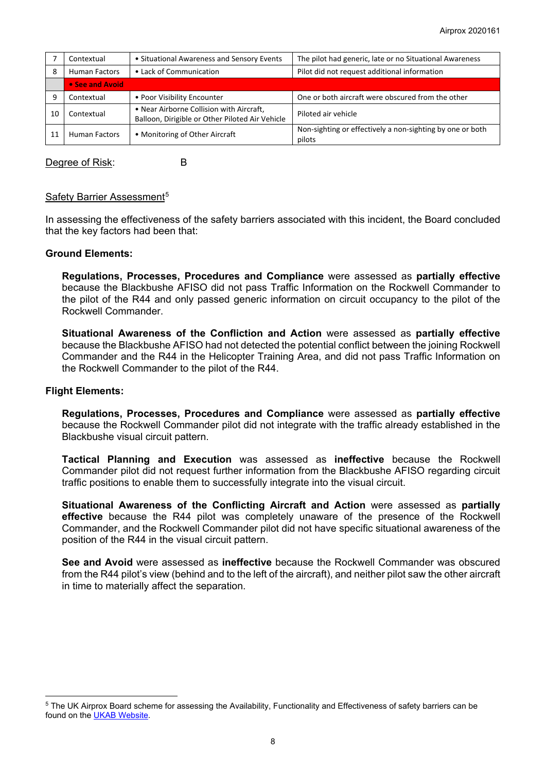|    | Contextual                               | • Situational Awareness and Sensory Events                                                  | The pilot had generic, late or no Situational Awareness             |
|----|------------------------------------------|---------------------------------------------------------------------------------------------|---------------------------------------------------------------------|
|    | • Lack of Communication<br>Human Factors |                                                                                             | Pilot did not request additional information                        |
|    | • See and Avoid                          |                                                                                             |                                                                     |
|    | Contextual                               | • Poor Visibility Encounter                                                                 | One or both aircraft were obscured from the other                   |
| 10 | Contextual                               | • Near Airborne Collision with Aircraft,<br>Balloon, Dirigible or Other Piloted Air Vehicle | Piloted air vehicle                                                 |
|    | Human Factors                            | • Monitoring of Other Aircraft                                                              | Non-sighting or effectively a non-sighting by one or both<br>pilots |

Degree of Risk: B

### Safety Barrier Assessment<sup>[5](#page-7-0)</sup>

In assessing the effectiveness of the safety barriers associated with this incident, the Board concluded that the key factors had been that:

### **Ground Elements:**

**Regulations, Processes, Procedures and Compliance** were assessed as **partially effective** because the Blackbushe AFISO did not pass Traffic Information on the Rockwell Commander to the pilot of the R44 and only passed generic information on circuit occupancy to the pilot of the Rockwell Commander.

**Situational Awareness of the Confliction and Action** were assessed as **partially effective** because the Blackbushe AFISO had not detected the potential conflict between the joining Rockwell Commander and the R44 in the Helicopter Training Area, and did not pass Traffic Information on the Rockwell Commander to the pilot of the R44.

#### **Flight Elements:**

**Regulations, Processes, Procedures and Compliance** were assessed as **partially effective** because the Rockwell Commander pilot did not integrate with the traffic already established in the Blackbushe visual circuit pattern.

**Tactical Planning and Execution** was assessed as **ineffective** because the Rockwell Commander pilot did not request further information from the Blackbushe AFISO regarding circuit traffic positions to enable them to successfully integrate into the visual circuit.

**Situational Awareness of the Conflicting Aircraft and Action** were assessed as **partially effective** because the R44 pilot was completely unaware of the presence of the Rockwell Commander, and the Rockwell Commander pilot did not have specific situational awareness of the position of the R44 in the visual circuit pattern.

**See and Avoid** were assessed as **ineffective** because the Rockwell Commander was obscured from the R44 pilot's view (behind and to the left of the aircraft), and neither pilot saw the other aircraft in time to materially affect the separation.

<span id="page-7-0"></span><sup>&</sup>lt;sup>5</sup> The UK Airprox Board scheme for assessing the Availability, Functionality and Effectiveness of safety barriers can be found on the [UKAB Website.](http://www.airproxboard.org.uk/Learn-more/Airprox-Barrier-Assessment/)